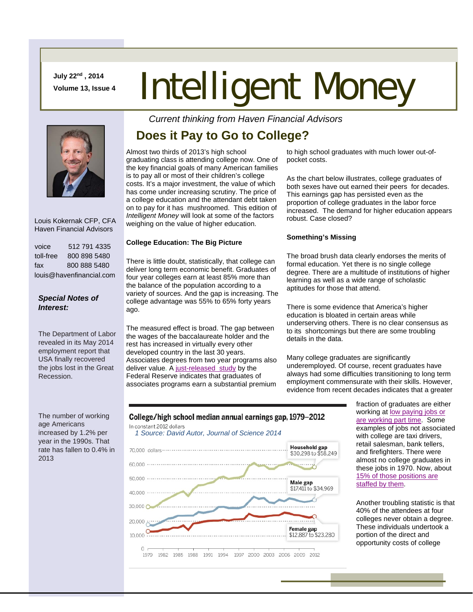**July 22nd , 2014** 

# **July 22<sup>nd</sup>, 2014**<br>Volume 13, Issue 4 **Intelligent Money**



 Louis Kokernak CFP, CFA Haven Financial Advisors

| voice                    | 512 791 4335 |
|--------------------------|--------------|
| toll-free                | 800 898 5480 |
| fax                      | 800 888 5480 |
| louis@havenfinancial.com |              |

## *Special Notes of Interest:*

The Department of Labor revealed in its May 2014 employment report that USA finally recovered the jobs lost in the Great Recession.

The number of working age Americans increased by 1.2% per year in the 1990s. That rate has fallen to 0.4% in 2013

## *Current thinking from Haven Financial Advisors*

## **Does it Pay to Go to College?**

Almost two thirds of 2013's high school graduating class is attending college now. One of the key financial goals of many American families is to pay all or most of their children's college costs. It's a major investment, the value of which has come under increasing scrutiny. The price of a college education and the attendant debt taken on to pay for it has mushroomed. This edition of *Intelligent Money* will look at some of the factors weighing on the value of higher education.

### **College Education: The Big Picture**

There is little doubt, statistically, that college can deliver long term economic benefit. Graduates of four year colleges earn at least 85% more than the balance of the population according to a variety of sources. And the gap is increasing. The college advantage was 55% to 65% forty years ago.

The measured effect is broad. The gap between the wages of the baccalaureate holder and the rest has increased in virtually every other developed country in the last 30 years. Associates degrees from two year programs also deliver value. A just-released study by the Federal Reserve indicates that graduates of associates programs earn a substantial premium

to high school graduates with much lower out-ofpocket costs.

As the chart below illustrates, college graduates of both sexes have out earned their peers for decades. This earnings gap has persisted even as the proportion of college graduates in the labor force increased. The demand for higher education appears robust. Case closed?

### **Something's Missing**

The broad brush data clearly endorses the merits of formal education. Yet there is no single college degree. There are a multitude of institutions of higher learning as well as a wide range of scholastic aptitudes for those that attend.

There is some evidence that America's higher education is bloated in certain areas while underserving others. There is no clear consensus as to its shortcomings but there are some troubling details in the data.

Many college graduates are significantly underemployed. Of course, recent graduates have always had some difficulties transitioning to long term employment commensurate with their skills. However, evidence from recent decades indicates that a greater

> fraction of graduates are either working at low paying jobs or are working part time. Some examples of jobs not associated with college are taxi drivers, retail salesman, bank tellers, and firefighters. There were almost no college graduates in these jobs in 1970. Now, about 15% of those positions are staffed by them.

> Another troubling statistic is that 40% of the attendees at four colleges never obtain a degree. These individuals undertook a portion of the direct and opportunity costs of college



1979 1982 1985 1988 1991 1994 1997 2000 2003 2006 2009 2012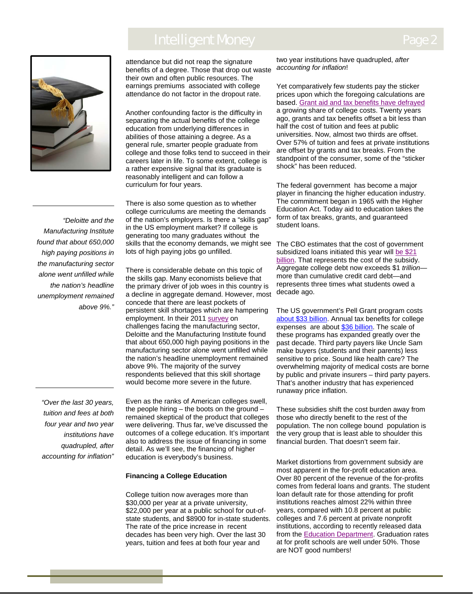## Intelligent Money



attendance but did not reap the signature benefits of a degree. Those that drop out waste their own and often public resources. The earnings premiums associated with college attendance do not factor in the dropout rate.

Another confounding factor is the difficulty in separating the actual benefits of the college education from underlying differences in abilities of those attaining a degree. As a general rule, smarter people graduate from college and those folks tend to succeed in their careers later in life. To some extent, college is a rather expensive signal that its graduate is reasonably intelligent and can follow a curriculum for four years.

There is also some question as to whether college curriculums are meeting the demands of the nation's employers. Is there a "skills gap" in the US employment market? If college is generating too many graduates without the skills that the economy demands, we might see lots of high paying jobs go unfilled.

There is considerable debate on this topic of the skills gap. Many economists believe that the primary driver of job woes in this country is a decline in aggregate demand. However, most concede that there are least pockets of persistent skill shortages which are hampering employment. In their 2011 survey on challenges facing the manufacturing sector, Deloitte and the Manufacturing Institute found that about 650,000 high paying positions in the manufacturing sector alone went unfilled while the nation's headline unemployment remained above 9%. The majority of the survey respondents believed that this skill shortage would become more severe in the future.

Even as the ranks of American colleges swell, the people hiring – the boots on the ground – remained skeptical of the product that colleges were delivering. Thus far, we've discussed the outcomes of a college education. It's important also to address the issue of financing in some detail. As we'll see, the financing of higher education is everybody's business.

#### **Financing a College Education**

College tuition now averages more than \$30,000 per year at a private university, \$22,000 per year at a public school for out-ofstate students, and \$8900 for in-state students. The rate of the price increase in recent decades has been very high. Over the last 30 years, tuition and fees at both four year and

two year institutions have quadrupled, *after accounting for inflation*!

Yet comparatively few students pay the sticker prices upon which the foregoing calculations are based. Grant aid and tax benefits have defrayed a growing share of college costs. Twenty years ago, grants and tax benefits offset a bit less than half the cost of tuition and fees at public universities. Now, almost two thirds are offset. Over 57% of tuition and fees at private institutions are offset by grants and tax breaks. From the standpoint of the consumer, some of the "sticker shock" has been reduced.

The federal government has become a major player in financing the higher education industry. The commitment began in 1965 with the Higher Education Act. Today aid to education takes the form of tax breaks, grants, and guaranteed student loans.

The CBO estimates that the cost of government subsidized loans initiated this year will be \$21 billion. That represents the cost of the subsidy. Aggregate college debt now exceeds \$1 *trillion* more than cumulative credit card debt—and represents three times what students owed a decade ago.

The US government's Pell Grant program costs about \$33 billion. Annual tax benefits for college expenses are about \$36 billion. The scale of these programs has expanded greatly over the past decade. Third party payers like Uncle Sam make buyers (students and their parents) less sensitive to price. Sound like health care? The overwhelming majority of medical costs are borne by public and private insurers – third party payers. That's another industry that has experienced runaway price inflation.

These subsidies shift the cost burden away from those who directly benefit to the rest of the population. The non college bound population is the very group that is least able to shoulder this financial burden. That doesn't seem fair.

Market distortions from government subsidy are most apparent in the for-profit education area. Over 80 percent of the revenue of the for-profits comes from federal loans and grants. The student loan default rate for those attending for profit institutions reaches almost 22% within three years, compared with 10.8 percent at public colleges and 7.6 percent at private nonprofit institutions, according to recently released data from the Education Department. Graduation rates at for profit schools are well under 50%. Those are NOT good numbers!

*Manufacturing Institute found that about 650,000 high paying positions in the manufacturing sector alone went unfilled while the nation's headline unemployment remained above 9%."*

 $\overline{\phantom{a}}$ 

*"Deloitte and the* 

*"Over the last 30 years, tuition and fees at both four year and two year institutions have quadrupled, after accounting for inflation"*